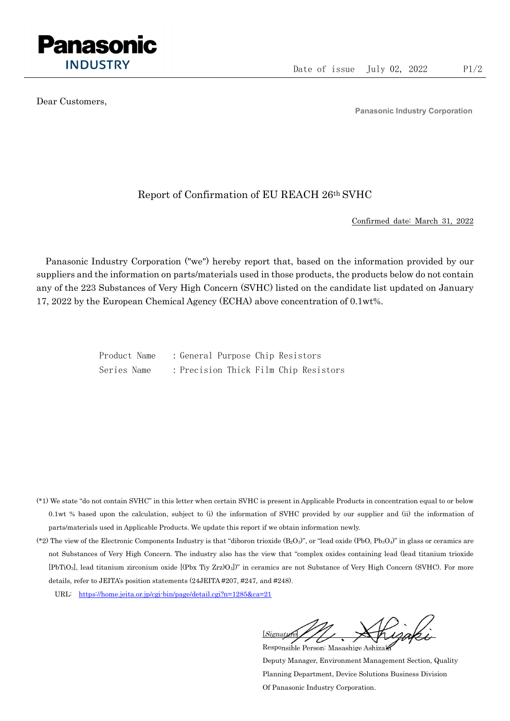

Dear Customers,

Panasonic Industry Corporation

## Report of Confirmation of EU REACH 26th SVHC

Confirmed date: March 31, 2022

Panasonic Industry Corporation ("we") hereby report that, based on the information provided by our suppliers and the information on parts/materials used in those products, the products below do not contain any of the 223 Substances of Very High Concern (SVHC) listed on the candidate list updated on January 17, 2022 by the European Chemical Agency (ECHA) above concentration of 0.1wt%.

> Product Name : General Purpose Chip Resistors Series Name : Precision Thick Film Chip Resistors

- (\*1) We state "do not contain SVHC" in this letter when certain SVHC is present in Applicable Products in concentration equal to or below 0.1wt % based upon the calculation, subject to (i) the information of SVHC provided by our supplier and (ii) the information of parts/materials used in Applicable Products. We update this report if we obtain information newly.
- (\*2) The view of the Electronic Components Industry is that "diboron trioxide  $(B_2O_3)$ ", or "lead oxide (PbO, Pb<sub>3</sub>O<sub>4</sub>)" in glass or ceramics are not Substances of Very High Concern. The industry also has the view that "complex oxides containing lead (lead titanium trioxide [PbTiO3], lead titanium zirconium oxide [(Pbx Tiy Zrz)O3])" in ceramics are not Substance of Very High Concern (SVHC). For more details, refer to JEITA's position statements (24JEITA #207, #247, and #248).
	- URL: https://home.jeita.or.jp/cgi-bin/page/detail.cgi?n=1285&ca=21

[Signature] Responsible Person: Masashige Ashizaki

Deputy Manager, Environment Management Section, Quality Planning Department, Device Solutions Business Division Of Panasonic Industry Corporation.